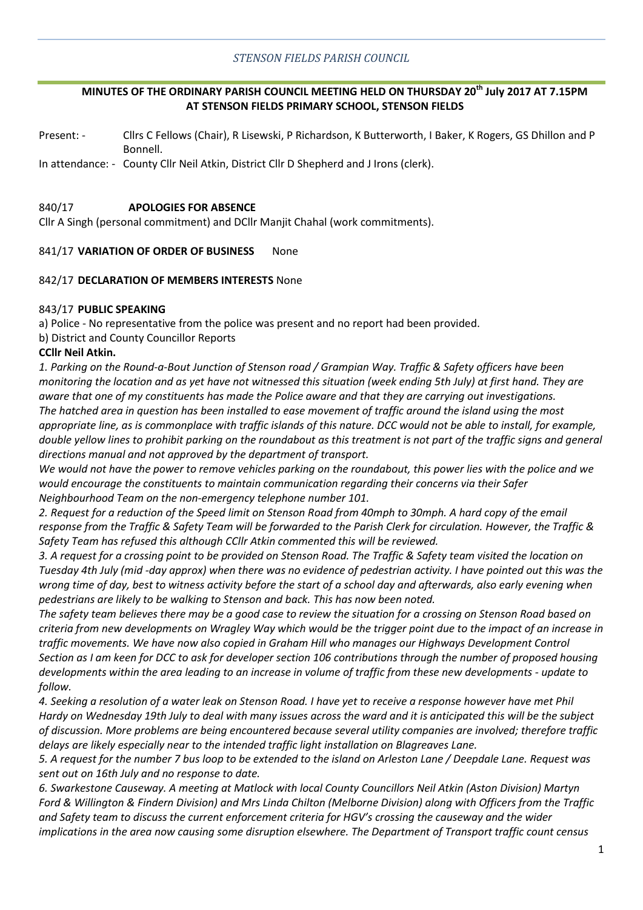### *STENSON FIELDS PARISH COUNCIL*

## **MINUTES OF THE ORDINARY PARISH COUNCIL MEETING HELD ON THURSDAY 20th July 2017 AT 7.15PM AT STENSON FIELDS PRIMARY SCHOOL, STENSON FIELDS**

Present: - Cllrs C Fellows (Chair), R Lisewski, P Richardson, K Butterworth, I Baker, K Rogers, GS Dhillon and P Bonnell.

In attendance: - County Cllr Neil Atkin, District Cllr D Shepherd and J Irons (clerk).

#### 840/17 **APOLOGIES FOR ABSENCE**

Cllr A Singh (personal commitment) and DCllr Manjit Chahal (work commitments).

#### 841/17 **VARIATION OF ORDER OF BUSINESS** None

#### 842/17 **DECLARATION OF MEMBERS INTERESTS** None

#### 843/17 **PUBLIC SPEAKING**

a) Police - No representative from the police was present and no report had been provided.

b) District and County Councillor Reports

#### **CCllr Neil Atkin.**

*1. Parking on the Round-a-Bout Junction of Stenson road / Grampian Way. Traffic & Safety officers have been monitoring the location and as yet have not witnessed this situation (week ending 5th July) at first hand. They are aware that one of my constituents has made the Police aware and that they are carrying out investigations. The hatched area in question has been installed to ease movement of traffic around the island using the most appropriate line, as is commonplace with traffic islands of this nature. DCC would not be able to install, for example, double yellow lines to prohibit parking on the roundabout as this treatment is not part of the traffic signs and general directions manual and not approved by the department of transport.*

*We would not have the power to remove vehicles parking on the roundabout, this power lies with the police and we would encourage the constituents to maintain communication regarding their concerns via their Safer Neighbourhood Team on the non-emergency telephone number 101.*

*2. Request for a reduction of the Speed limit on Stenson Road from 40mph to 30mph. A hard copy of the email response from the Traffic & Safety Team will be forwarded to the Parish Clerk for circulation. However, the Traffic & Safety Team has refused this although CCllr Atkin commented this will be reviewed.* 

*3. A request for a crossing point to be provided on Stenson Road. The Traffic & Safety team visited the location on Tuesday 4th July (mid -day approx) when there was no evidence of pedestrian activity. I have pointed out this was the wrong time of day, best to witness activity before the start of a school day and afterwards, also early evening when pedestrians are likely to be walking to Stenson and back. This has now been noted.*

*The safety team believes there may be a good case to review the situation for a crossing on Stenson Road based on criteria from new developments on Wragley Way which would be the trigger point due to the impact of an increase in traffic movements. We have now also copied in Graham Hill who manages our Highways Development Control Section as I am keen for DCC to ask for developer section 106 contributions through the number of proposed housing developments within the area leading to an increase in volume of traffic from these new developments - update to follow.* 

*4. Seeking a resolution of a water leak on Stenson Road. I have yet to receive a response however have met Phil Hardy on Wednesday 19th July to deal with many issues across the ward and it is anticipated this will be the subject of discussion. More problems are being encountered because several utility companies are involved; therefore traffic delays are likely especially near to the intended traffic light installation on Blagreaves Lane.* 

*5. A request for the number 7 bus loop to be extended to the island on Arleston Lane / Deepdale Lane. Request was sent out on 16th July and no response to date.*

*6. Swarkestone Causeway. A meeting at Matlock with local County Councillors Neil Atkin (Aston Division) Martyn Ford & Willington & Findern Division) and Mrs Linda Chilton (Melborne Division) along with Officers from the Traffic and Safety team to discuss the current enforcement criteria for HGV's crossing the causeway and the wider implications in the area now causing some disruption elsewhere. The Department of Transport traffic count census*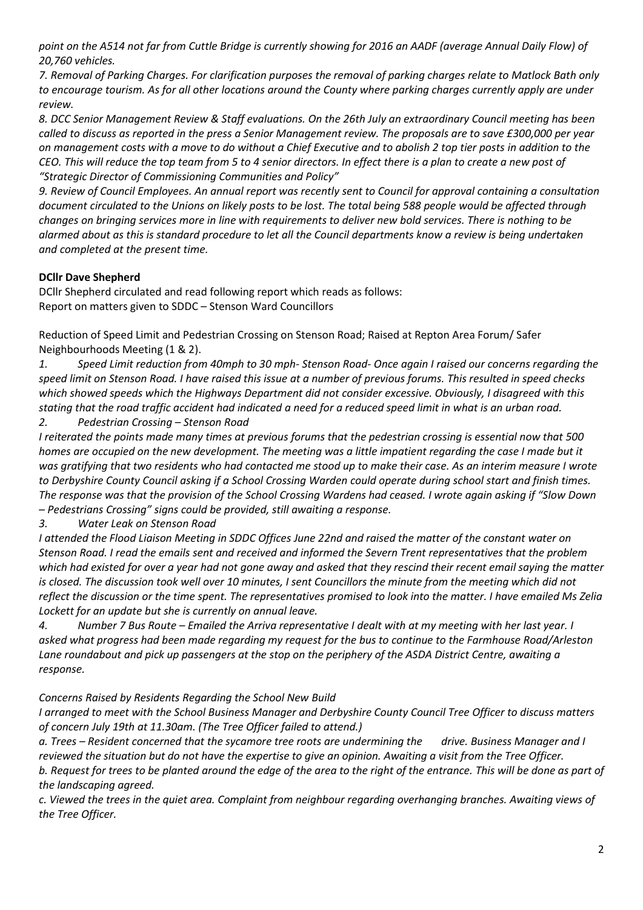point on the A514 not far from Cuttle Bridge is currently showing for 2016 an AADF (average Annual Daily Flow) of *20,760 vehicles.*

*7. Removal of Parking Charges. For clarification purposes the removal of parking charges relate to Matlock Bath only to encourage tourism. As for all other locations around the County where parking charges currently apply are under review.*

*8. DCC Senior Management Review & Staff evaluations. On the 26th July an extraordinary Council meeting has been called to discuss as reported in the press a Senior Management review. The proposals are to save £300,000 per year on management costs with a move to do without a Chief Executive and to abolish 2 top tier posts in addition to the CEO. This will reduce the top team from 5 to 4 senior directors. In effect there is a plan to create a new post of "Strategic Director of Commissioning Communities and Policy"*

*9. Review of Council Employees. An annual report was recently sent to Council for approval containing a consultation document circulated to the Unions on likely posts to be lost. The total being 588 people would be affected through changes on bringing services more in line with requirements to deliver new bold services. There is nothing to be alarmed about as this is standard procedure to let all the Council departments know a review is being undertaken and completed at the present time.*

# **DCllr Dave Shepherd**

DCllr Shepherd circulated and read following report which reads as follows: Report on matters given to SDDC – Stenson Ward Councillors

Reduction of Speed Limit and Pedestrian Crossing on Stenson Road; Raised at Repton Area Forum/ Safer Neighbourhoods Meeting (1 & 2).

*1. Speed Limit reduction from 40mph to 30 mph- Stenson Road- Once again I raised our concerns regarding the speed limit on Stenson Road. I have raised this issue at a number of previous forums. This resulted in speed checks which showed speeds which the Highways Department did not consider excessive. Obviously, I disagreed with this stating that the road traffic accident had indicated a need for a reduced speed limit in what is an urban road.* 

*2. Pedestrian Crossing – Stenson Road*

*I reiterated the points made many times at previous forums that the pedestrian crossing is essential now that 500 homes are occupied on the new development. The meeting was a little impatient regarding the case I made but it was gratifying that two residents who had contacted me stood up to make their case. As an interim measure I wrote to Derbyshire County Council asking if a School Crossing Warden could operate during school start and finish times. The response was that the provision of the School Crossing Wardens had ceased. I wrote again asking if "Slow Down – Pedestrians Crossing" signs could be provided, still awaiting a response.*

# *3. Water Leak on Stenson Road*

*I attended the Flood Liaison Meeting in SDDC Offices June 22nd and raised the matter of the constant water on Stenson Road. I read the emails sent and received and informed the Severn Trent representatives that the problem which had existed for over a year had not gone away and asked that they rescind their recent email saying the matter is closed. The discussion took well over 10 minutes, I sent Councillors the minute from the meeting which did not reflect the discussion or the time spent. The representatives promised to look into the matter. I have emailed Ms Zelia Lockett for an update but she is currently on annual leave.*

*4. Number 7 Bus Route – Emailed the Arriva representative I dealt with at my meeting with her last year. I asked what progress had been made regarding my request for the bus to continue to the Farmhouse Road/Arleston Lane roundabout and pick up passengers at the stop on the periphery of the ASDA District Centre, awaiting a response.*

*Concerns Raised by Residents Regarding the School New Build*

*I arranged to meet with the School Business Manager and Derbyshire County Council Tree Officer to discuss matters of concern July 19th at 11.30am. (The Tree Officer failed to attend.)*

*a. Trees – Resident concerned that the sycamore tree roots are undermining the drive. Business Manager and I reviewed the situation but do not have the expertise to give an opinion. Awaiting a visit from the Tree Officer. b. Request for trees to be planted around the edge of the area to the right of the entrance. This will be done as part of the landscaping agreed.*

*c. Viewed the trees in the quiet area. Complaint from neighbour regarding overhanging branches. Awaiting views of the Tree Officer.*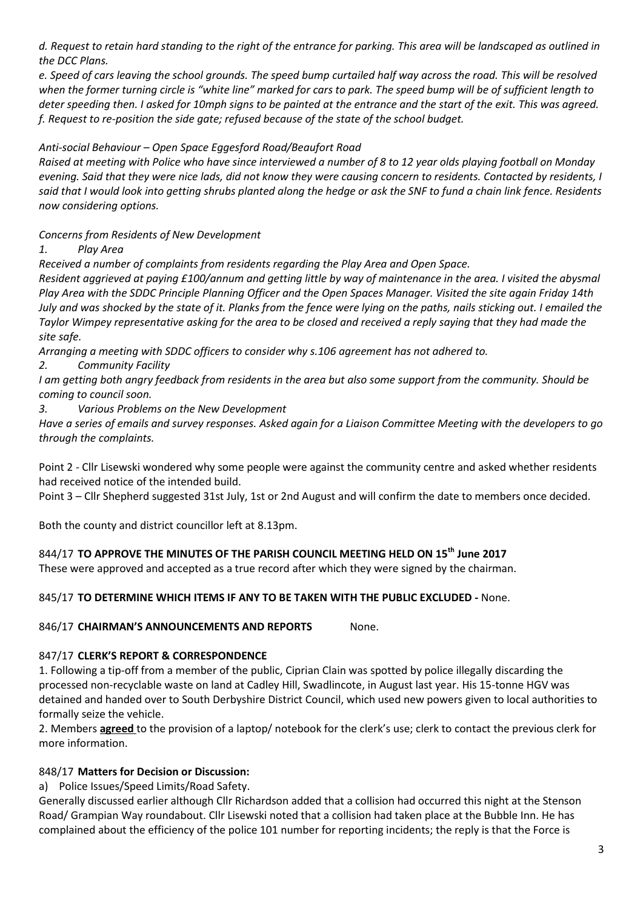*d. Request to retain hard standing to the right of the entrance for parking. This area will be landscaped as outlined in the DCC Plans.*

*e. Speed of cars leaving the school grounds. The speed bump curtailed half way across the road. This will be resolved when the former turning circle is "white line" marked for cars to park. The speed bump will be of sufficient length to deter speeding then. I asked for 10mph signs to be painted at the entrance and the start of the exit. This was agreed. f. Request to re-position the side gate; refused because of the state of the school budget.*

## *Anti-social Behaviour – Open Space Eggesford Road/Beaufort Road*

*Raised at meeting with Police who have since interviewed a number of 8 to 12 year olds playing football on Monday evening. Said that they were nice lads, did not know they were causing concern to residents. Contacted by residents, I said that I would look into getting shrubs planted along the hedge or ask the SNF to fund a chain link fence. Residents now considering options.*

*Concerns from Residents of New Development*

*1. Play Area*

*Received a number of complaints from residents regarding the Play Area and Open Space.*

*Resident aggrieved at paying £100/annum and getting little by way of maintenance in the area. I visited the abysmal Play Area with the SDDC Principle Planning Officer and the Open Spaces Manager. Visited the site again Friday 14th July and was shocked by the state of it. Planks from the fence were lying on the paths, nails sticking out. I emailed the Taylor Wimpey representative asking for the area to be closed and received a reply saying that they had made the site safe.*

*Arranging a meeting with SDDC officers to consider why s.106 agreement has not adhered to.*

*2. Community Facility*

*I am getting both angry feedback from residents in the area but also some support from the community. Should be coming to council soon.*

*3. Various Problems on the New Development* 

*Have a series of emails and survey responses. Asked again for a Liaison Committee Meeting with the developers to go through the complaints.*

Point 2 - Cllr Lisewski wondered why some people were against the community centre and asked whether residents had received notice of the intended build.

Point 3 – Cllr Shepherd suggested 31st July, 1st or 2nd August and will confirm the date to members once decided.

Both the county and district councillor left at 8.13pm.

### 844/17 **TO APPROVE THE MINUTES OF THE PARISH COUNCIL MEETING HELD ON 15th June 2017**

These were approved and accepted as a true record after which they were signed by the chairman.

845/17 **TO DETERMINE WHICH ITEMS IF ANY TO BE TAKEN WITH THE PUBLIC EXCLUDED -** None.

846/17 **CHAIRMAN'S ANNOUNCEMENTS AND REPORTS** None.

### 847/17 **CLERK'S REPORT & CORRESPONDENCE**

1. Following a tip-off from a member of the public, Ciprian Clain was spotted by police illegally discarding the processed non-recyclable waste on land at Cadley Hill, Swadlincote, in August last year. His 15-tonne HGV was detained and handed over to South Derbyshire District Council, which used new powers given to local authorities to formally seize the vehicle.

2. Members **agreed** to the provision of a laptop/ notebook for the clerk's use; clerk to contact the previous clerk for more information.

### 848/17 **Matters for Decision or Discussion:**

a) Police Issues/Speed Limits/Road Safety.

Generally discussed earlier although Cllr Richardson added that a collision had occurred this night at the Stenson Road/ Grampian Way roundabout. Cllr Lisewski noted that a collision had taken place at the Bubble Inn. He has complained about the efficiency of the police 101 number for reporting incidents; the reply is that the Force is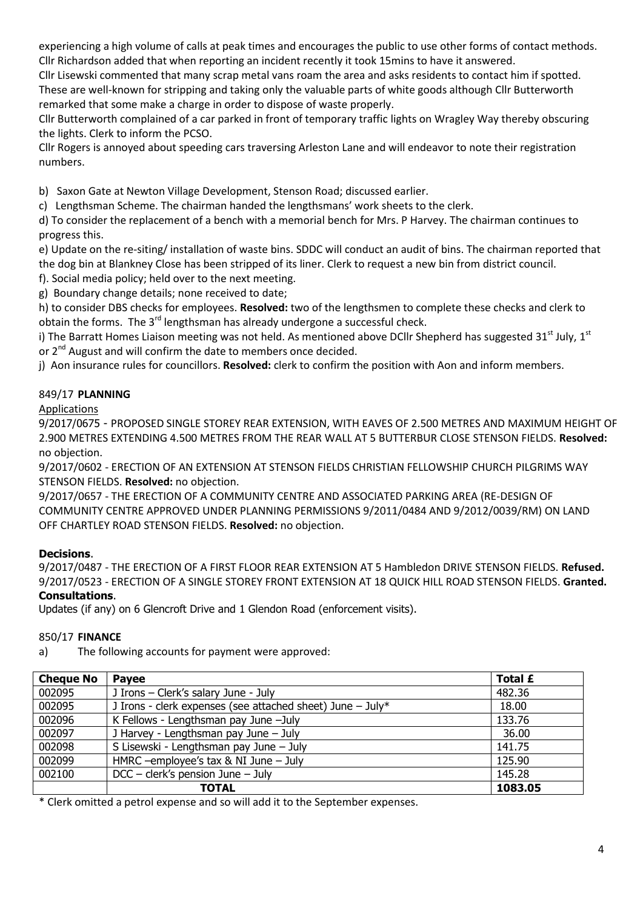experiencing a high volume of calls at peak times and encourages the public to use other forms of contact methods. Cllr Richardson added that when reporting an incident recently it took 15mins to have it answered.

Cllr Lisewski commented that many scrap metal vans roam the area and asks residents to contact him if spotted. These are well-known for stripping and taking only the valuable parts of white goods although Cllr Butterworth remarked that some make a charge in order to dispose of waste properly.

Cllr Butterworth complained of a car parked in front of temporary traffic lights on Wragley Way thereby obscuring the lights. Clerk to inform the PCSO.

Cllr Rogers is annoyed about speeding cars traversing Arleston Lane and will endeavor to note their registration numbers.

b) Saxon Gate at Newton Village Development, Stenson Road; discussed earlier.

c) Lengthsman Scheme. The chairman handed the lengthsmans' work sheets to the clerk.

d) To consider the replacement of a bench with a memorial bench for Mrs. P Harvey. The chairman continues to progress this.

e) Update on the re-siting/ installation of waste bins. SDDC will conduct an audit of bins. The chairman reported that the dog bin at Blankney Close has been stripped of its liner. Clerk to request a new bin from district council.

f). Social media policy; held over to the next meeting.

g) Boundary change details; none received to date;

h) to consider DBS checks for employees. **Resolved:** two of the lengthsmen to complete these checks and clerk to obtain the forms. The  $3^{rd}$  lengthsman has already undergone a successful check.

i) The Barratt Homes Liaison meeting was not held. As mentioned above DCIIr Shepherd has suggested 31<sup>st</sup> July, 1<sup>st</sup> or 2<sup>nd</sup> August and will confirm the date to members once decided.

j) Aon insurance rules for councillors. **Resolved:** clerk to confirm the position with Aon and inform members.

# 849/17 **PLANNING**

## Applications

9/2017/0675 - PROPOSED SINGLE STOREY REAR EXTENSION, WITH EAVES OF 2.500 METRES AND MAXIMUM HEIGHT OF 2.900 METRES EXTENDING 4.500 METRES FROM THE REAR WALL AT 5 BUTTERBUR CLOSE STENSON FIELDS. **Resolved:** no objection.

9/2017/0602 - ERECTION OF AN EXTENSION AT STENSON FIELDS CHRISTIAN FELLOWSHIP CHURCH PILGRIMS WAY STENSON FIELDS. **Resolved:** no objection.

9/2017/0657 - THE ERECTION OF A COMMUNITY CENTRE AND ASSOCIATED PARKING AREA (RE-DESIGN OF COMMUNITY CENTRE APPROVED UNDER PLANNING PERMISSIONS 9/2011/0484 AND 9/2012/0039/RM) ON LAND OFF CHARTLEY ROAD STENSON FIELDS. **Resolved:** no objection.

# **Decisions**.

9/2017/0487 - THE ERECTION OF A FIRST FLOOR REAR EXTENSION AT 5 Hambledon DRIVE STENSON FIELDS. **Refused.** 9/2017/0523 - ERECTION OF A SINGLE STOREY FRONT EXTENSION AT 18 QUICK HILL ROAD STENSON FIELDS. **Granted. Consultations**.

Updates (if any) on 6 Glencroft Drive and 1 Glendon Road (enforcement visits).

### 850/17 **FINANCE**

a) The following accounts for payment were approved:

| <b>Cheque No</b> | <b>Pavee</b>                                                 | Total £ |
|------------------|--------------------------------------------------------------|---------|
| 002095           | J Irons - Clerk's salary June - July                         | 482.36  |
| 002095           | J Irons - clerk expenses (see attached sheet) June $-$ July* | 18.00   |
| 002096           | K Fellows - Lengthsman pay June -July                        | 133.76  |
| 002097           | J Harvey - Lengthsman pay June - July                        | 36.00   |
| 002098           | S Lisewski - Lengthsman pay June - July                      | 141.75  |
| 002099           | HMRC --employee's tax $&$ NI June - July                     | 125.90  |
| 002100           | $DCC - clerk's pension June - July$                          | 145.28  |
|                  | <b>TOTAL</b>                                                 | 1083.05 |

\* Clerk omitted a petrol expense and so will add it to the September expenses.